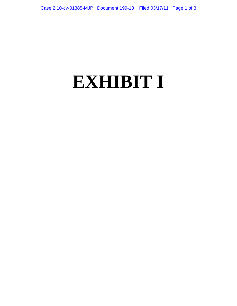## **EXHIBIT I**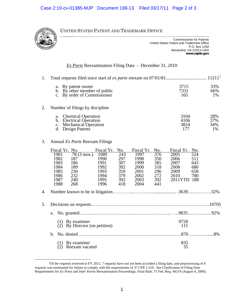UNITED STATES PATENT AND TRADEMARK OFFICE

| <b>Commissioner for Patents</b>           |
|-------------------------------------------|
| United States Patent and Trademark Office |
| P.O. Box 1450                             |
| Alexandria, VA 22313-1450                 |
| www.uspto.gov                             |

## *Ex Parte* Reexamination Filing Data - December 31, 2010

|    | a. By patent owner<br>b. By other member of public<br>c. By order of Commissioner                   | 3715<br>7331<br>165         | 33%<br>66%<br>1%        |  |  |  |
|----|-----------------------------------------------------------------------------------------------------|-----------------------------|-------------------------|--|--|--|
| 2. | Number of filings by discipline                                                                     |                             |                         |  |  |  |
|    | a. Chemical Operation<br>b. Electrical Operation<br>c. Mechanical Operation<br>Design Patents<br>d. | 3104<br>4106<br>3824<br>177 | 28%<br>37%<br>34%<br>1% |  |  |  |

## 3. Annual *Ex Parte* Reexam Filings

|    | Fiscal Yr. No. |                               | Fiscal Yr.   | No.        | Fiscal Yr.   | No.        | Fiscal Yr.   | No.        |  |
|----|----------------|-------------------------------|--------------|------------|--------------|------------|--------------|------------|--|
|    | 1981           | $78(3 \text{ mos.})$          | 1989         | 243        | 1997         | 376        | 2005         | 524        |  |
|    | 1982<br>1983   | 187                           | 1990         | 297        | 1998         | 350        | 2006         | 511<br>643 |  |
|    | 1984           | 186<br>189                    | 1991<br>1992 | 307<br>392 | 1999<br>2000 | 385<br>318 | 2007<br>2008 | 680        |  |
|    | 1985           | 230                           | 1993         | 359        | 2001         | 296        | 2009         | 658        |  |
|    | 1986           | 232                           | 1994         | 379        | 2002         | 272        | 2010         | 780        |  |
|    | 1987           | 240                           | 1995         | 392        | 2003         | 392        | 2011YTD      | 188        |  |
|    | 1988           | 268                           | 1996         | 418        | 2004         | 441        |              |            |  |
| 4. |                |                               |              |            |              |            |              |            |  |
| 5. |                |                               |              |            |              |            |              |            |  |
|    | a.             |                               |              |            |              |            |              |            |  |
|    | (1)            | By examiner                   |              |            |              |            | 9720         |            |  |
|    |                | By Director (on petition)     |              |            |              |            | 115          |            |  |
|    | b.             |                               |              |            |              |            |              |            |  |
|    | (1)            | By examiner<br>Reexam vacated |              |            |              |            | 835<br>35    |            |  |
|    |                |                               |              |            |              |            |              |            |  |

<span id="page-1-0"></span> $\frac{1}{1}$ <sup>1</sup>Of the requests received in FY 2011, 7 requests have not yet been accorded a filing date, and preprocessing of 6 requests was terminated for failure to comply with the requirements of 37 CFR 1.510. See Clarification of Filing Date Requirements for *Ex Parte* and *Inter Partes* Reexamination Proceedings, Final Rule, 71 Fed. Reg. 44219 (August 4, 2006).